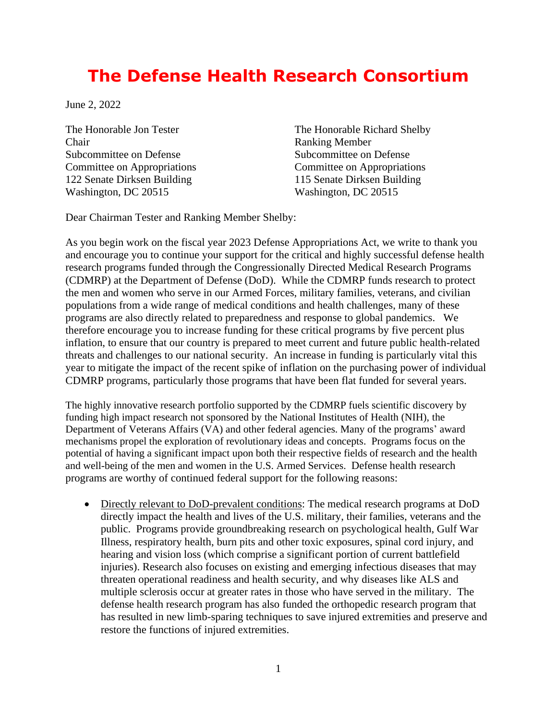## **The Defense Health Research Consortium**

June 2, 2022

Chair Ranking Member Subcommittee on Defense Subcommittee on Defense 122 Senate Dirksen Building 115 Senate Dirksen Building Washington, DC 20515 Washington, DC 20515

The Honorable Jon Tester The Honorable Richard Shelby Committee on Appropriations Committee on Appropriations

Dear Chairman Tester and Ranking Member Shelby:

As you begin work on the fiscal year 2023 Defense Appropriations Act, we write to thank you and encourage you to continue your support for the critical and highly successful defense health research programs funded through the Congressionally Directed Medical Research Programs (CDMRP) at the Department of Defense (DoD). While the CDMRP funds research to protect the men and women who serve in our Armed Forces, military families, veterans, and civilian populations from a wide range of medical conditions and health challenges, many of these programs are also directly related to preparedness and response to global pandemics. We therefore encourage you to increase funding for these critical programs by five percent plus inflation, to ensure that our country is prepared to meet current and future public health-related threats and challenges to our national security. An increase in funding is particularly vital this year to mitigate the impact of the recent spike of inflation on the purchasing power of individual CDMRP programs, particularly those programs that have been flat funded for several years.

The highly innovative research portfolio supported by the CDMRP fuels scientific discovery by funding high impact research not sponsored by the National Institutes of Health (NIH), the Department of Veterans Affairs (VA) and other federal agencies. Many of the programs' award mechanisms propel the exploration of revolutionary ideas and concepts. Programs focus on the potential of having a significant impact upon both their respective fields of research and the health and well-being of the men and women in the U.S. Armed Services. Defense health research programs are worthy of continued federal support for the following reasons:

• Directly relevant to DoD-prevalent conditions: The medical research programs at DoD directly impact the health and lives of the U.S. military, their families, veterans and the public. Programs provide groundbreaking research on psychological health, Gulf War Illness, respiratory health, burn pits and other toxic exposures, spinal cord injury, and hearing and vision loss (which comprise a significant portion of current battlefield injuries). Research also focuses on existing and emerging infectious diseases that may threaten operational readiness and health security, and why diseases like ALS and multiple sclerosis occur at greater rates in those who have served in the military. The defense health research program has also funded the orthopedic research program that has resulted in new limb-sparing techniques to save injured extremities and preserve and restore the functions of injured extremities.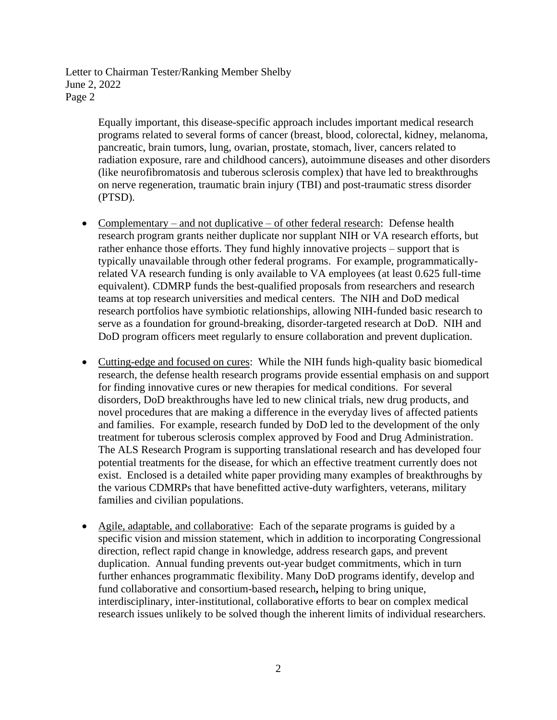> Equally important, this disease-specific approach includes important medical research programs related to several forms of cancer (breast, blood, colorectal, kidney, melanoma, pancreatic, brain tumors, lung, ovarian, prostate, stomach, liver, cancers related to radiation exposure, rare and childhood cancers), autoimmune diseases and other disorders (like neurofibromatosis and tuberous sclerosis complex) that have led to breakthroughs on nerve regeneration, traumatic brain injury (TBI) and post-traumatic stress disorder (PTSD).

- Complementary and not duplicative of other federal research: Defense health research program grants neither duplicate nor supplant NIH or VA research efforts, but rather enhance those efforts. They fund highly innovative projects – support that is typically unavailable through other federal programs. For example, programmaticallyrelated VA research funding is only available to VA employees (at least 0.625 full-time equivalent). CDMRP funds the best-qualified proposals from researchers and research teams at top research universities and medical centers. The NIH and DoD medical research portfolios have symbiotic relationships, allowing NIH-funded basic research to serve as a foundation for ground-breaking, disorder-targeted research at DoD. NIH and DoD program officers meet regularly to ensure collaboration and prevent duplication.
- Cutting-edge and focused on cures: While the NIH funds high-quality basic biomedical research, the defense health research programs provide essential emphasis on and support for finding innovative cures or new therapies for medical conditions. For several disorders, DoD breakthroughs have led to new clinical trials, new drug products, and novel procedures that are making a difference in the everyday lives of affected patients and families. For example, research funded by DoD led to the development of the only treatment for tuberous sclerosis complex approved by Food and Drug Administration. The ALS Research Program is supporting translational research and has developed four potential treatments for the disease, for which an effective treatment currently does not exist. Enclosed is a detailed white paper providing many examples of breakthroughs by the various CDMRPs that have benefitted active-duty warfighters, veterans, military families and civilian populations.
- Agile, adaptable, and collaborative: Each of the separate programs is guided by a specific vision and mission statement, which in addition to incorporating Congressional direction, reflect rapid change in knowledge, address research gaps, and prevent duplication. Annual funding prevents out-year budget commitments, which in turn further enhances programmatic flexibility. Many DoD programs identify, develop and fund collaborative and consortium-based research**,** helping to bring unique, interdisciplinary, inter-institutional, collaborative efforts to bear on complex medical research issues unlikely to be solved though the inherent limits of individual researchers.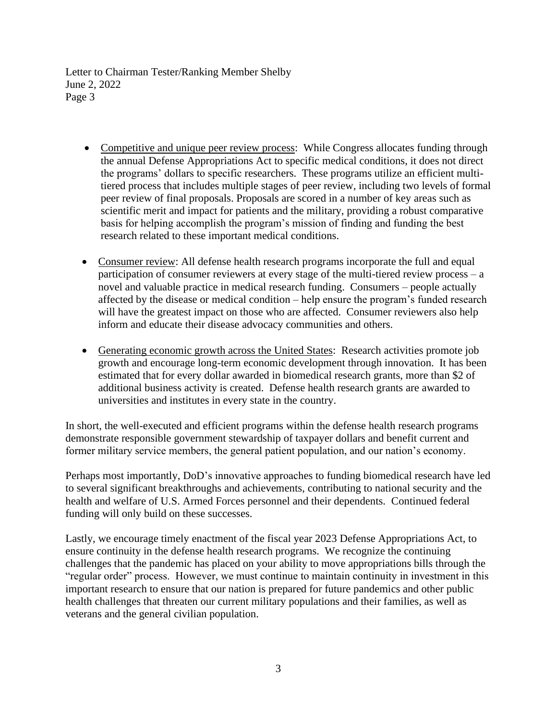- Competitive and unique peer review process: While Congress allocates funding through the annual Defense Appropriations Act to specific medical conditions, it does not direct the programs' dollars to specific researchers. These programs utilize an efficient multitiered process that includes multiple stages of peer review, including two levels of formal peer review of final proposals. Proposals are scored in a number of key areas such as scientific merit and impact for patients and the military, providing a robust comparative basis for helping accomplish the program's mission of finding and funding the best research related to these important medical conditions.
- Consumer review: All defense health research programs incorporate the full and equal participation of consumer reviewers at every stage of the multi-tiered review process – a novel and valuable practice in medical research funding. Consumers – people actually affected by the disease or medical condition – help ensure the program's funded research will have the greatest impact on those who are affected. Consumer reviewers also help inform and educate their disease advocacy communities and others.
- Generating economic growth across the United States: Research activities promote job growth and encourage long-term economic development through innovation. It has been estimated that for every dollar awarded in biomedical research grants, more than \$2 of additional business activity is created. Defense health research grants are awarded to universities and institutes in every state in the country.

In short, the well-executed and efficient programs within the defense health research programs demonstrate responsible government stewardship of taxpayer dollars and benefit current and former military service members, the general patient population, and our nation's economy.

Perhaps most importantly, DoD's innovative approaches to funding biomedical research have led to several significant breakthroughs and achievements, contributing to national security and the health and welfare of U.S. Armed Forces personnel and their dependents. Continued federal funding will only build on these successes.

Lastly, we encourage timely enactment of the fiscal year 2023 Defense Appropriations Act, to ensure continuity in the defense health research programs. We recognize the continuing challenges that the pandemic has placed on your ability to move appropriations bills through the "regular order" process. However, we must continue to maintain continuity in investment in this important research to ensure that our nation is prepared for future pandemics and other public health challenges that threaten our current military populations and their families, as well as veterans and the general civilian population.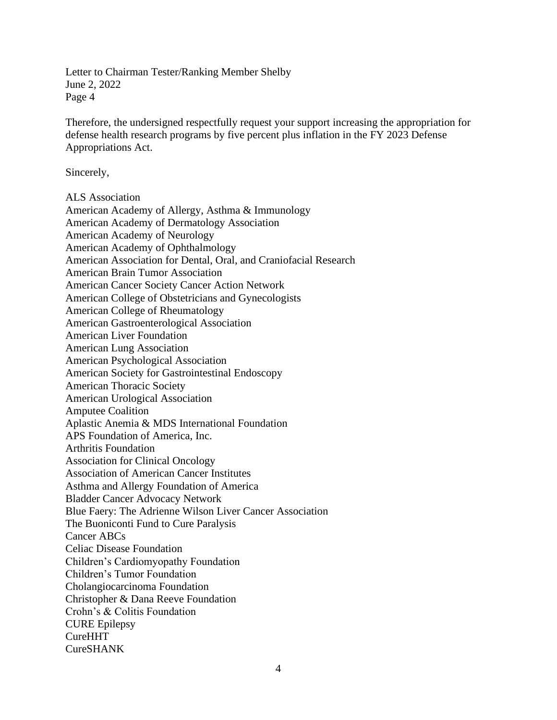Therefore, the undersigned respectfully request your support increasing the appropriation for defense health research programs by five percent plus inflation in the FY 2023 Defense Appropriations Act.

Sincerely,

ALS Association

American Academy of Allergy, Asthma & Immunology American Academy of Dermatology Association American Academy of Neurology American Academy of Ophthalmology American Association for Dental, Oral, and Craniofacial Research American Brain Tumor Association American Cancer Society Cancer Action Network American College of Obstetricians and Gynecologists American College of Rheumatology American Gastroenterological Association American Liver Foundation American Lung Association American Psychological Association American Society for Gastrointestinal Endoscopy American Thoracic Society American Urological Association Amputee Coalition Aplastic Anemia & MDS International Foundation APS Foundation of America, Inc. Arthritis Foundation Association for Clinical Oncology Association of American Cancer Institutes Asthma and Allergy Foundation of America Bladder Cancer Advocacy Network Blue Faery: The Adrienne Wilson Liver Cancer Association The Buoniconti Fund to Cure Paralysis Cancer ABCs Celiac Disease Foundation Children's Cardiomyopathy Foundation Children's Tumor Foundation Cholangiocarcinoma Foundation Christopher & Dana Reeve Foundation Crohn's & Colitis Foundation CURE Epilepsy CureHHT CureSHANK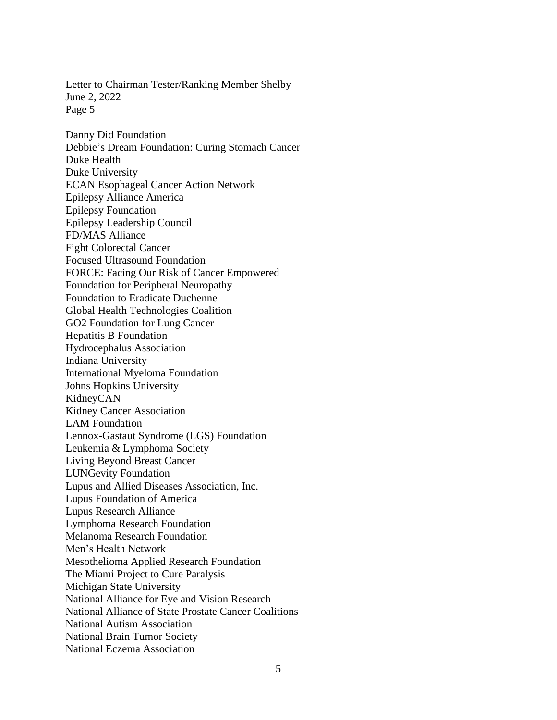June 2, 2022 Page 5 Danny Did Foundation Debbie's Dream Foundation: Curing Stomach Cancer Duke Health Duke University ECAN Esophageal Cancer Action Network Epilepsy Alliance America Epilepsy Foundation Epilepsy Leadership Council FD/MAS Alliance Fight Colorectal Cancer Focused Ultrasound Foundation FORCE: Facing Our Risk of Cancer Empowered Foundation for Peripheral Neuropathy Foundation to Eradicate Duchenne Global Health Technologies Coalition GO2 Foundation for Lung Cancer Hepatitis B Foundation Hydrocephalus Association Indiana University International Myeloma Foundation Johns Hopkins University KidneyCAN Kidney Cancer Association LAM Foundation Lennox-Gastaut Syndrome (LGS) Foundation Leukemia & Lymphoma Society Living Beyond Breast Cancer LUNGevity Foundation Lupus and Allied Diseases Association, Inc. Lupus Foundation of America Lupus Research Alliance Lymphoma Research Foundation Melanoma Research Foundation Men's Health Network Mesothelioma Applied Research Foundation The Miami Project to Cure Paralysis Michigan State University National Alliance for Eye and Vision Research National Alliance of State Prostate Cancer Coalitions National Autism Association National Brain Tumor Society National Eczema Association

Letter to Chairman Tester/Ranking Member Shelby